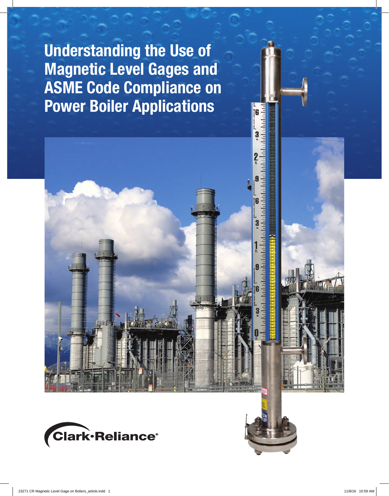Understanding the Use of Magnetic Level Gages and ASME Code Compliance on Power Boiler Applications



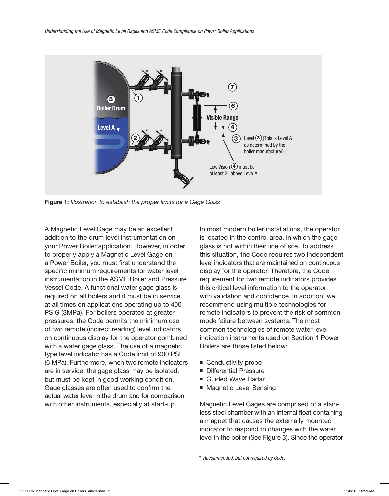

Figure 1: *Illustration to establish the proper limits for a Gage Glass*

A Magnetic Level Gage may be an excellent addition to the drum level instrumentation on your Power Boiler application. However, in order to properly apply a Magnetic Level Gage on a Power Boiler, you must first understand the specific minimum requirements for water level instrumentation in the ASME Boiler and Pressure Vessel Code. A functional water gage glass is required on all boilers and it must be in service at all times on applications operating up to 400 PSIG (3MPa). For boilers operated at greater pressures, the Code permits the minimum use of two remote (indirect reading) level indicators on continuous display for the operator combined with a water gage glass. The use of a magnetic type level indicator has a Code limit of 900 PSI (6 MPa). Furthermore, when two remote indicators are in service, the gage glass may be isolated, but must be kept in good working condition. Gage glasses are often used to confirm the actual water level in the drum and for comparison with other instruments, especially at start-up.

In most modern boiler installations, the operator is located in the control area, in which the gage glass is not within their line of site. To address this situation, the Code requires two independent level indicators that are maintained on continuous display for the operator. Therefore, the Code requirement for two remote indicators provides this critical level information to the operator with validation and confidence. In addition, we recommend using multiple technologies for remote indicators to prevent the risk of common mode failure between systems. The most common technologies of remote water level indication instruments used on Section 1 Power Boilers are those listed below:

- Conductivity probe
- Differential Pressure
- Guided Wave Radar
- Magnetic Level Sensing

Magnetic Level Gages are comprised of a stainless steel chamber with an internal float containing a magnet that causes the externally mounted indicator to respond to changes with the water level in the boiler (See Figure 3). Since the operator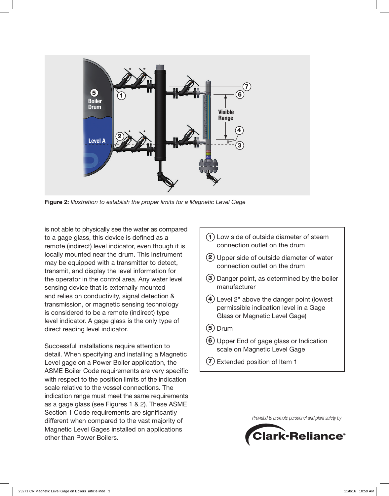

Figure 2: *Illustration to establish the proper limits for a Magnetic Level Gage*

is not able to physically see the water as compared to a gage glass, this device is defined as a remote (indirect) level indicator, even though it is locally mounted near the drum. This instrument may be equipped with a transmitter to detect, transmit, and display the level information for the operator in the control area. Any water level sensing device that is externally mounted and relies on conductivity, signal detection & transmission, or magnetic sensing technology is considered to be a remote (indirect) type level indicator. A gage glass is the only type of direct reading level indicator.

Successful installations require attention to detail. When specifying and installing a Magnetic Level gage on a Power Boiler application, the ASME Boiler Code requirements are very specific with respect to the position limits of the indication scale relative to the vessel connections. The indication range must meet the same requirements as a gage glass (see Figures 1 & 2). These ASME Section 1 Code requirements are significantly different when compared to the vast majority of Magnetic Level Gages installed on applications other than Power Boilers.

- 6 Upper End of gage glass or Indication 5 Drum 4 Level 2" above the danger point (lowest 3 Danger point, as determined by the boiler 2 Upper side of outside diameter of water  $(1)$  Low side of outside diameter of steam connection outlet on the drum connection outlet on the drum manufacturer permissible indication level in a Gage Glass or Magnetic Level Gage) scale on Magnetic Level Gage
	- 7 Extended position of Item 1